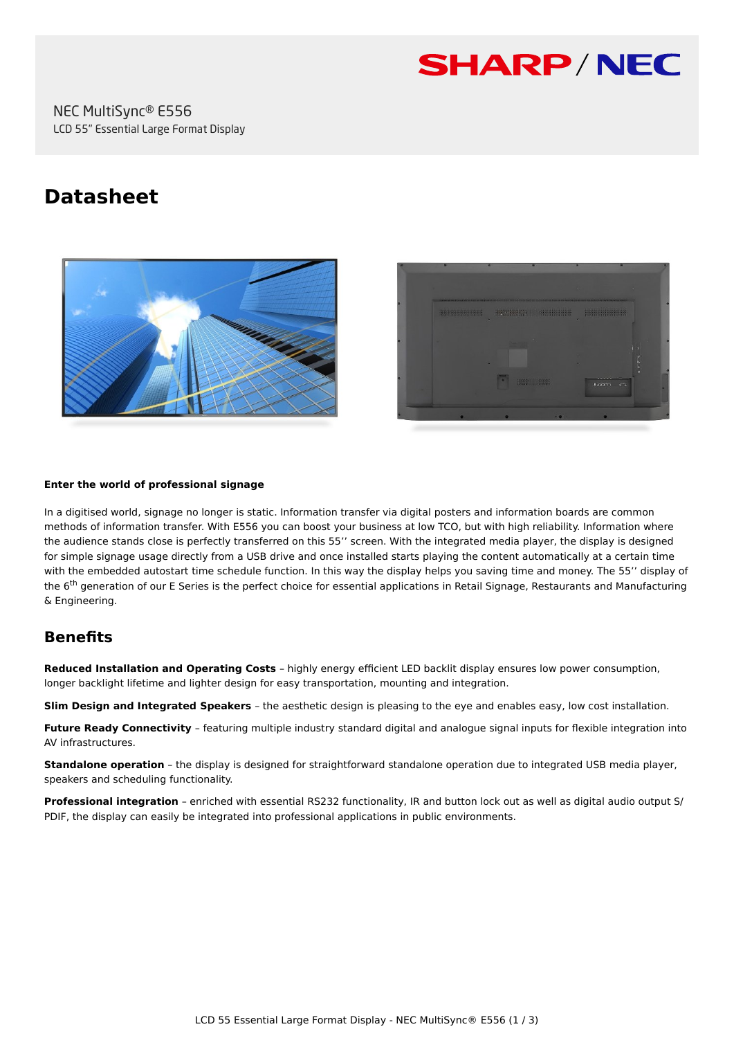

# **Datasheet**





#### **Enter the world of professional signage**

In a digitised world, signage no longer is static. Information transfer via digital posters and information boards are common methods of information transfer. With E556 you can boost your business at low TCO, but with high reliability. Information where the audience stands close is perfectly transferred on this 55'' screen. With the integrated media player, the display is designed for simple signage usage directly from a USB drive and once installed starts playing the content automatically at a certain time with the embedded autostart time schedule function. In this way the display helps you saving time and money. The 55'' display of the 6<sup>th</sup> generation of our E Series is the perfect choice for essential applications in Retail Signage, Restaurants and Manufacturing & Engineering.

# **Benefits**

**Reduced Installation and Operating Costs** – highly energy efficient LED backlit display ensures low power consumption, longer backlight lifetime and lighter design for easy transportation, mounting and integration.

**Slim Design and Integrated Speakers** – the aesthetic design is pleasing to the eye and enables easy, low cost installation.

**Future Ready Connectivity** – featuring multiple industry standard digital and analogue signal inputs for flexible integration into AV infrastructures.

**Standalone operation** – the display is designed for straightforward standalone operation due to integrated USB media player. speakers and scheduling functionality.

**Professional integration** – enriched with essential RS232 functionality, IR and button lock out as well as digital audio output S/ PDIF, the display can easily be integrated into professional applications in public environments.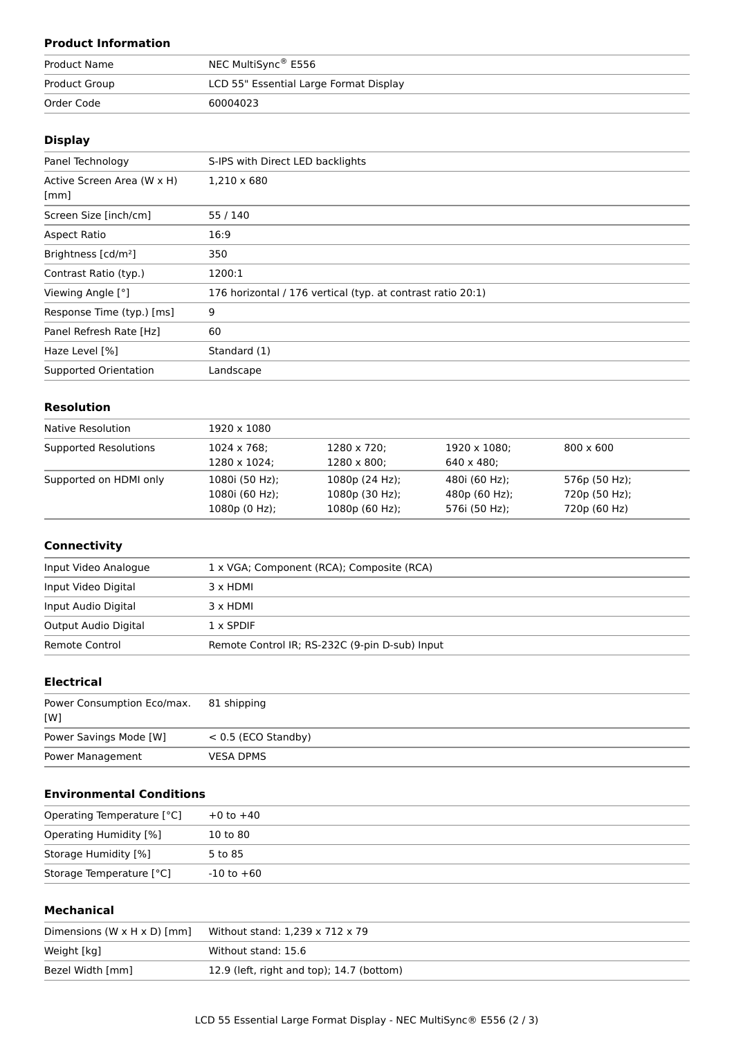## **Product Information**

| <b>Product Name</b> | NEC MultiSync® E556                    |
|---------------------|----------------------------------------|
| Product Group       | LCD 55" Essential Large Format Display |
| Order Code          | 60004023                               |

### **Display**

| Panel Technology                | S-IPS with Direct LED backlights                            |
|---------------------------------|-------------------------------------------------------------|
| Active Screen Area (W x H)      | 1,210 x 680                                                 |
| [mm]                            |                                                             |
| Screen Size [inch/cm]           | 55 / 140                                                    |
| Aspect Ratio                    | 16:9                                                        |
| Brightness [cd/m <sup>2</sup> ] | 350                                                         |
| Contrast Ratio (typ.)           | 1200:1                                                      |
| Viewing Angle [°]               | 176 horizontal / 176 vertical (typ. at contrast ratio 20:1) |
| Response Time (typ.) [ms]       | 9                                                           |
| Panel Refresh Rate [Hz]         | 60                                                          |
| Haze Level [%]                  | Standard (1)                                                |
| Supported Orientation           | Landscape                                                   |
|                                 |                                                             |

# **Resolution**

| Native Resolution      | 1920 x 1080     |                     |                    |                  |  |
|------------------------|-----------------|---------------------|--------------------|------------------|--|
| Supported Resolutions  | 1024 x 768;     | 1280 x 720;         | 1920 x 1080;       | $800 \times 600$ |  |
|                        | 1280 x 1024;    | $1280 \times 800$ ; | $640 \times 480$ : |                  |  |
| Supported on HDMI only | 1080i (50 Hz);  | 1080p(24 Hz);       | 480i (60 Hz);      | 576p (50 Hz);    |  |
|                        | 1080i (60 Hz);  | 1080p (30 Hz);      | 480p (60 Hz);      | 720p (50 Hz);    |  |
|                        | $1080p(0 Hz)$ ; | 1080p (60 Hz);      | 576i (50 Hz);      | 720p (60 Hz)     |  |

#### **Connectivity**

| Input Video Analogue | 1 x VGA; Component (RCA); Composite (RCA)      |
|----------------------|------------------------------------------------|
| Input Video Digital  | 3 x HDMI                                       |
| Input Audio Digital  | 3 x HDMI                                       |
| Output Audio Digital | $1 \times$ SPDIF                               |
| Remote Control       | Remote Control IR; RS-232C (9-pin D-sub) Input |

## **Electrical**

| Power Consumption Eco/max. 81 shipping<br>[W] |                       |
|-----------------------------------------------|-----------------------|
| Power Savings Mode [W]                        | $< 0.5$ (ECO Standby) |
| Power Management                              | <b>VESA DPMS</b>      |

# **Environmental Conditions**

| Operating Temperature [°C] | $+0$ to $+40$  |  |
|----------------------------|----------------|--|
| Operating Humidity [%]     | 10 to 80       |  |
| Storage Humidity [%]       | 5 to 85        |  |
| Storage Temperature [°C]   | $-10$ to $+60$ |  |

#### **Mechanical**

| Dimensions $(W \times H \times D)$ [mm] | Without stand: $1,239 \times 712 \times 79$ |
|-----------------------------------------|---------------------------------------------|
| Weight [kg]                             | Without stand: 15.6                         |
| Bezel Width [mm]                        | 12.9 (left, right and top); 14.7 (bottom)   |